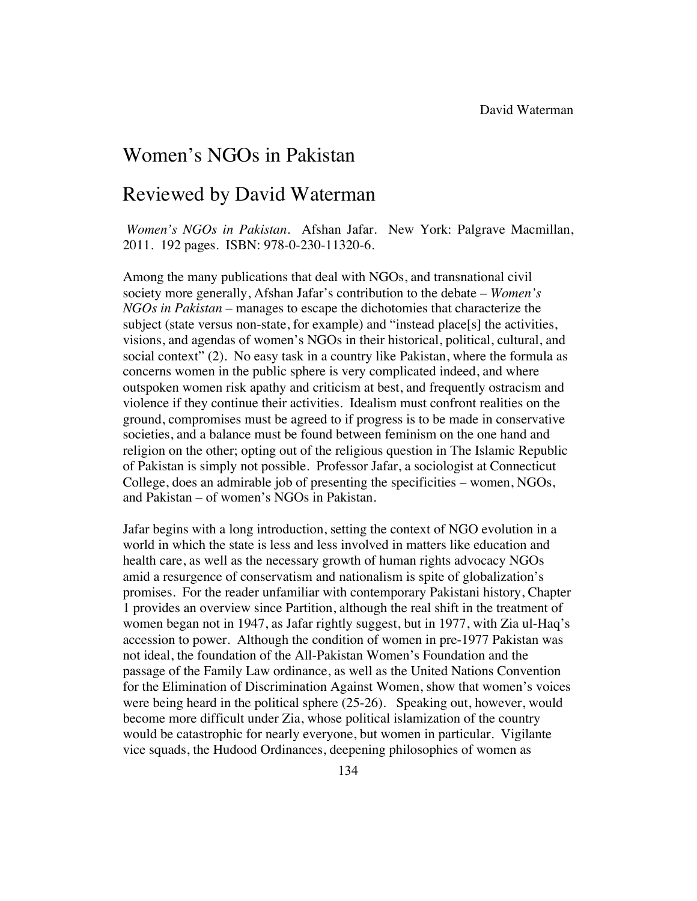## Women's NGOs in Pakistan

## Reviewed by David Waterman

*Women's NGOs in Pakistan.* Afshan Jafar. New York: Palgrave Macmillan, 2011. 192 pages. ISBN: 978-0-230-11320-6.

Among the many publications that deal with NGOs, and transnational civil society more generally, Afshan Jafar's contribution to the debate – *Women's NGOs in Pakistan* – manages to escape the dichotomies that characterize the subject (state versus non-state, for example) and "instead place[s] the activities, visions, and agendas of women's NGOs in their historical, political, cultural, and social context" (2). No easy task in a country like Pakistan, where the formula as concerns women in the public sphere is very complicated indeed, and where outspoken women risk apathy and criticism at best, and frequently ostracism and violence if they continue their activities. Idealism must confront realities on the ground, compromises must be agreed to if progress is to be made in conservative societies, and a balance must be found between feminism on the one hand and religion on the other; opting out of the religious question in The Islamic Republic of Pakistan is simply not possible. Professor Jafar, a sociologist at Connecticut College, does an admirable job of presenting the specificities – women, NGOs, and Pakistan – of women's NGOs in Pakistan.

Jafar begins with a long introduction, setting the context of NGO evolution in a world in which the state is less and less involved in matters like education and health care, as well as the necessary growth of human rights advocacy NGOs amid a resurgence of conservatism and nationalism is spite of globalization's promises. For the reader unfamiliar with contemporary Pakistani history, Chapter 1 provides an overview since Partition, although the real shift in the treatment of women began not in 1947, as Jafar rightly suggest, but in 1977, with Zia ul-Haq's accession to power. Although the condition of women in pre-1977 Pakistan was not ideal, the foundation of the All-Pakistan Women's Foundation and the passage of the Family Law ordinance, as well as the United Nations Convention for the Elimination of Discrimination Against Women, show that women's voices were being heard in the political sphere (25-26). Speaking out, however, would become more difficult under Zia, whose political islamization of the country would be catastrophic for nearly everyone, but women in particular. Vigilante vice squads, the Hudood Ordinances, deepening philosophies of women as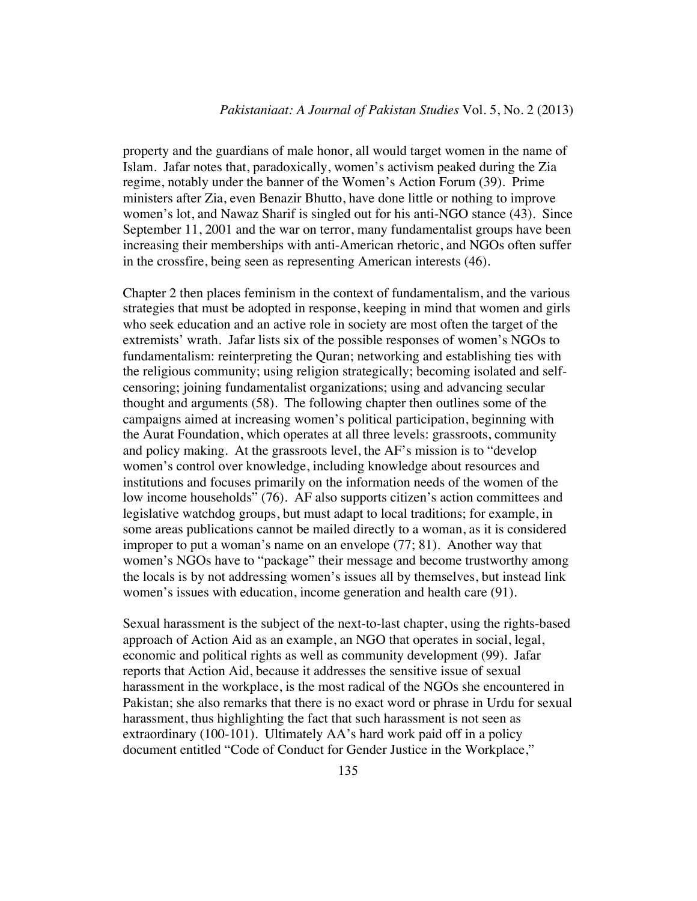property and the guardians of male honor, all would target women in the name of Islam. Jafar notes that, paradoxically, women's activism peaked during the Zia regime, notably under the banner of the Women's Action Forum (39). Prime ministers after Zia, even Benazir Bhutto, have done little or nothing to improve women's lot, and Nawaz Sharif is singled out for his anti-NGO stance (43). Since September 11, 2001 and the war on terror, many fundamentalist groups have been increasing their memberships with anti-American rhetoric, and NGOs often suffer in the crossfire, being seen as representing American interests (46).

Chapter 2 then places feminism in the context of fundamentalism, and the various strategies that must be adopted in response, keeping in mind that women and girls who seek education and an active role in society are most often the target of the extremists' wrath. Jafar lists six of the possible responses of women's NGOs to fundamentalism: reinterpreting the Quran; networking and establishing ties with the religious community; using religion strategically; becoming isolated and selfcensoring; joining fundamentalist organizations; using and advancing secular thought and arguments (58). The following chapter then outlines some of the campaigns aimed at increasing women's political participation, beginning with the Aurat Foundation, which operates at all three levels: grassroots, community and policy making. At the grassroots level, the AF's mission is to "develop women's control over knowledge, including knowledge about resources and institutions and focuses primarily on the information needs of the women of the low income households" (76). AF also supports citizen's action committees and legislative watchdog groups, but must adapt to local traditions; for example, in some areas publications cannot be mailed directly to a woman, as it is considered improper to put a woman's name on an envelope (77; 81). Another way that women's NGOs have to "package" their message and become trustworthy among the locals is by not addressing women's issues all by themselves, but instead link women's issues with education, income generation and health care (91).

Sexual harassment is the subject of the next-to-last chapter, using the rights-based approach of Action Aid as an example, an NGO that operates in social, legal, economic and political rights as well as community development (99). Jafar reports that Action Aid, because it addresses the sensitive issue of sexual harassment in the workplace, is the most radical of the NGOs she encountered in Pakistan; she also remarks that there is no exact word or phrase in Urdu for sexual harassment, thus highlighting the fact that such harassment is not seen as extraordinary (100-101). Ultimately AA's hard work paid off in a policy document entitled "Code of Conduct for Gender Justice in the Workplace,"